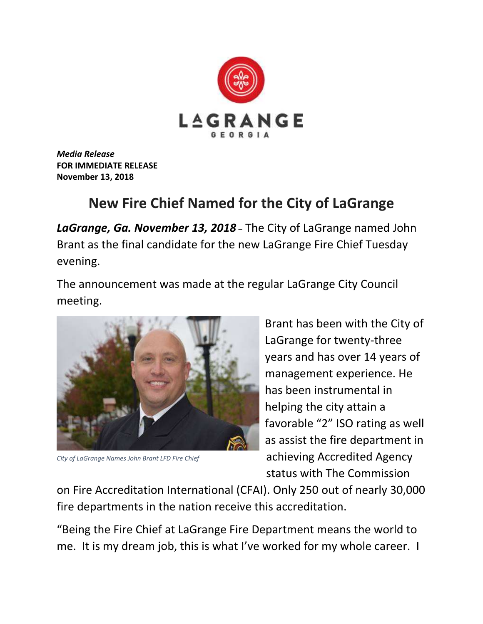

*Media Release* **FOR IMMEDIATE RELEASE November 13, 2018**

## **New Fire Chief Named for the City of LaGrange**

*LaGrange, Ga. November 13, 2018* – The City of LaGrange named John Brant as the final candidate for the new LaGrange Fire Chief Tuesday evening.

The announcement was made at the regular LaGrange City Council meeting.



*City of LaGrange Names John Brant LFD Fire Chief*

Brant has been with the City of LaGrange for twenty-three years and has over 14 years of management experience. He has been instrumental in helping the city attain a favorable "2" ISO rating as well as assist the fire department in achieving Accredited Agency status with The Commission

on Fire Accreditation International (CFAI). Only 250 out of nearly 30,000 fire departments in the nation receive this accreditation.

"Being the Fire Chief at LaGrange Fire Department means the world to me. It is my dream job, this is what I've worked for my whole career. I